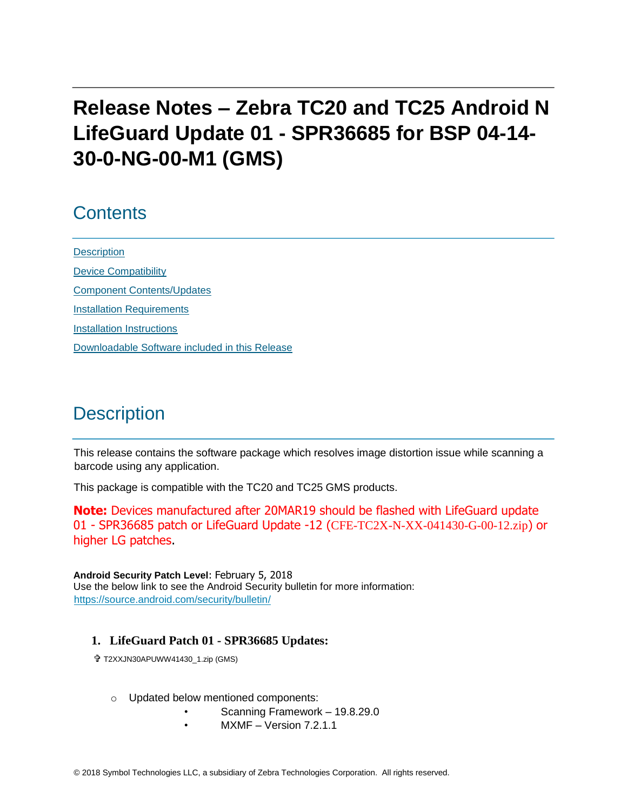# **Release Notes – Zebra TC20 and TC25 Android N LifeGuard Update 01 - SPR36685 for BSP 04-14- 30-0-NG-00-M1 (GMS)**

# **Contents**

**[Description](#page-0-0)** [Device Compatibility](#page-1-0) [Component Contents/Updates](#page-2-0) [Installation Requirements](#page-3-0) [Installation Instructions](#page-3-1) [Downloadable Software included in this Release](#page-5-0)

# <span id="page-0-0"></span>**Description**

This release contains the software package which resolves image distortion issue while scanning a barcode using any application.

This package is compatible with the TC20 and TC25 GMS products.

**Note:** Devices manufactured after 20MAR19 should be flashed with LifeGuard update 01 - SPR36685 patch or LifeGuard Update -12 (CFE-TC2X-N-XX-041430-G-00-12.zip) or higher LG patches.

**Android Security Patch Level**: February 5, 2018 Use the below link to see the Android Security bulletin for more information: <https://source.android.com/security/bulletin/>

#### **1. LifeGuard Patch 01 - SPR36685 Updates:**

- T2XXJN30APUWW41430\_1.zip (GMS)
	- o Updated below mentioned components:
		- Scanning Framework 19.8.29.0
		- $MXMF Version 7.2.1.1$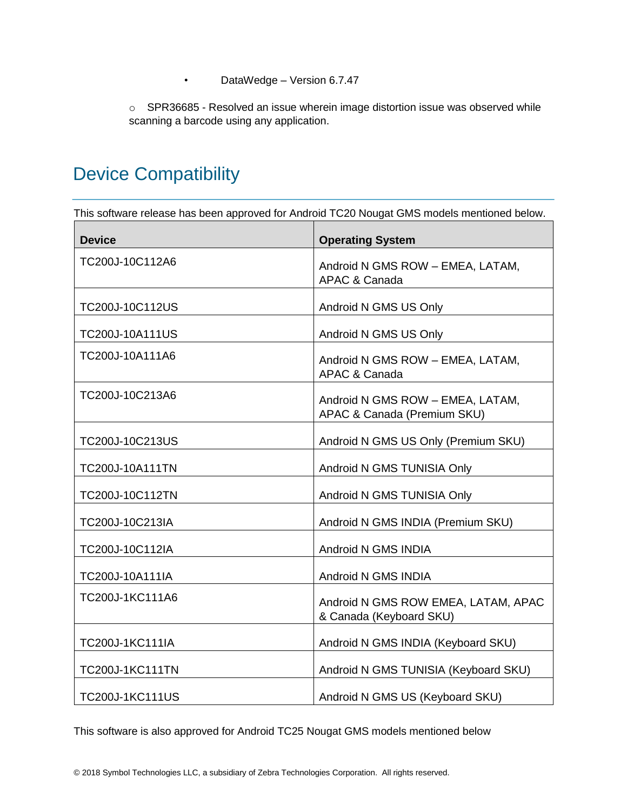• DataWedge – Version 6.7.47

o SPR36685 - Resolved an issue wherein image distortion issue was observed while scanning a barcode using any application.

# <span id="page-1-0"></span>Device Compatibility

This software release has been approved for Android TC20 Nougat GMS models mentioned below.

| <b>Device</b>          | <b>Operating System</b>                                         |
|------------------------|-----------------------------------------------------------------|
| TC200J-10C112A6        | Android N GMS ROW - EMEA, LATAM,<br><b>APAC &amp; Canada</b>    |
| TC200J-10C112US        | Android N GMS US Only                                           |
| TC200J-10A111US        | Android N GMS US Only                                           |
| TC200J-10A111A6        | Android N GMS ROW - EMEA, LATAM,<br><b>APAC &amp; Canada</b>    |
| TC200J-10C213A6        | Android N GMS ROW - EMEA, LATAM,<br>APAC & Canada (Premium SKU) |
| TC200J-10C213US        | Android N GMS US Only (Premium SKU)                             |
| TC200J-10A111TN        | Android N GMS TUNISIA Only                                      |
| TC200J-10C112TN        | Android N GMS TUNISIA Only                                      |
| TC200J-10C213IA        | Android N GMS INDIA (Premium SKU)                               |
| TC200J-10C112IA        | Android N GMS INDIA                                             |
| TC200J-10A111IA        | Android N GMS INDIA                                             |
| TC200J-1KC111A6        | Android N GMS ROW EMEA, LATAM, APAC<br>& Canada (Keyboard SKU)  |
| <b>TC200J-1KC111IA</b> | Android N GMS INDIA (Keyboard SKU)                              |
| <b>TC200J-1KC111TN</b> | Android N GMS TUNISIA (Keyboard SKU)                            |
| <b>TC200J-1KC111US</b> | Android N GMS US (Keyboard SKU)                                 |

This software is also approved for Android TC25 Nougat GMS models mentioned below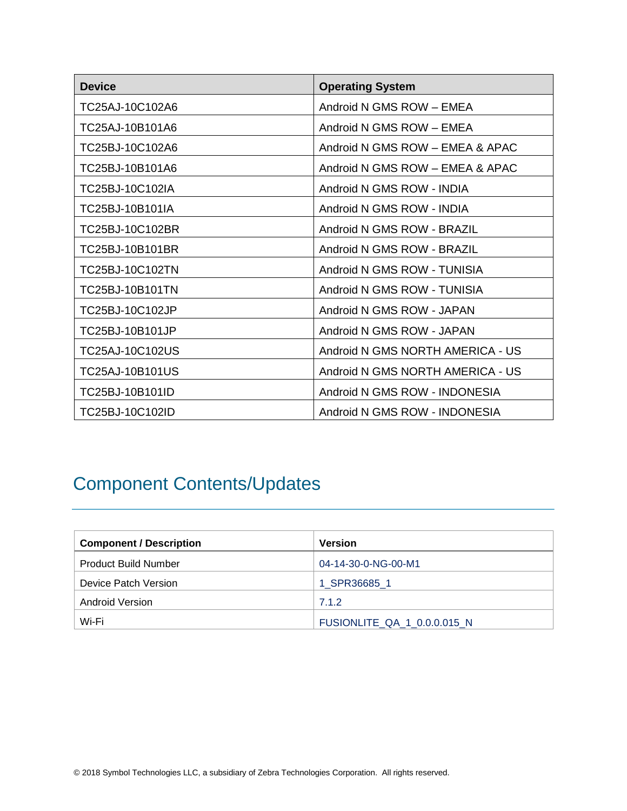| <b>Device</b>   | <b>Operating System</b>          |
|-----------------|----------------------------------|
| TC25AJ-10C102A6 | Android N GMS ROW - EMEA         |
| TC25AJ-10B101A6 | Android N GMS ROW - EMEA         |
| TC25BJ-10C102A6 | Android N GMS ROW - EMEA & APAC  |
| TC25BJ-10B101A6 | Android N GMS ROW - EMEA & APAC  |
| TC25BJ-10C102IA | Android N GMS ROW - INDIA        |
| TC25BJ-10B101IA | Android N GMS ROW - INDIA        |
| TC25BJ-10C102BR | Android N GMS ROW - BRAZIL       |
| TC25BJ-10B101BR | Android N GMS ROW - BRAZIL       |
| TC25BJ-10C102TN | Android N GMS ROW - TUNISIA      |
| TC25BJ-10B101TN | Android N GMS ROW - TUNISIA      |
| TC25BJ-10C102JP | Android N GMS ROW - JAPAN        |
| TC25BJ-10B101JP | Android N GMS ROW - JAPAN        |
| TC25AJ-10C102US | Android N GMS NORTH AMERICA - US |
| TC25AJ-10B101US | Android N GMS NORTH AMERICA - US |
| TC25BJ-10B101ID | Android N GMS ROW - INDONESIA    |
| TC25BJ-10C102ID | Android N GMS ROW - INDONESIA    |

# <span id="page-2-0"></span>Component Contents/Updates

| <b>Component / Description</b> | <b>Version</b>                     |
|--------------------------------|------------------------------------|
| <b>Product Build Number</b>    | 04-14-30-0-NG-00-M1                |
| Device Patch Version           | 1 SPR36685 1                       |
| <b>Android Version</b>         | 7.1.2                              |
| Wi-Fi                          | <b>FUSIONLITE QA 1 0.0.0.015 N</b> |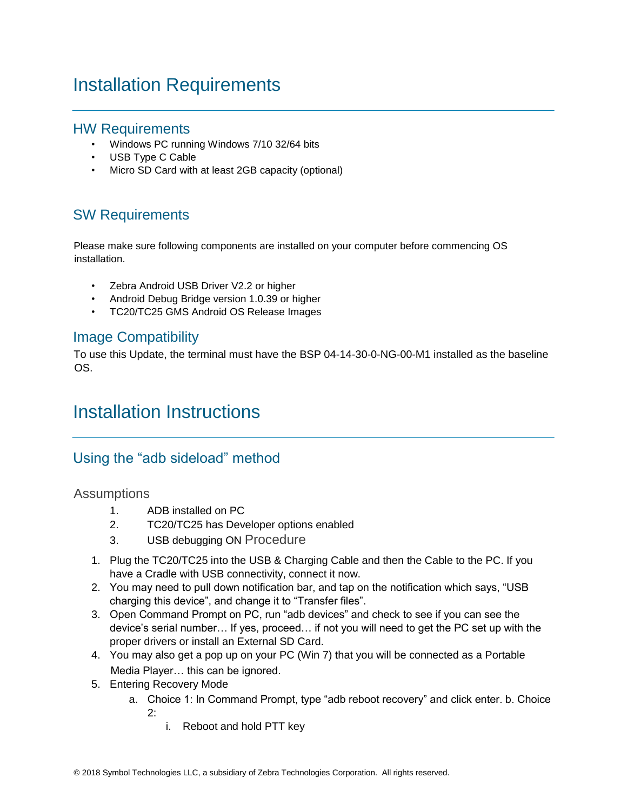# <span id="page-3-0"></span>Installation Requirements

### HW Requirements

- Windows PC running Windows 7/10 32/64 bits
- USB Type C Cable
- Micro SD Card with at least 2GB capacity (optional)

## SW Requirements

Please make sure following components are installed on your computer before commencing OS installation.

- Zebra Android USB Driver V2.2 or higher
- Android Debug Bridge version 1.0.39 or higher
- TC20/TC25 GMS Android OS Release Images

#### Image Compatibility

To use this Update, the terminal must have the BSP 04-14-30-0-NG-00-M1 installed as the baseline OS.

# <span id="page-3-1"></span>Installation Instructions

## Using the "adb sideload" method

#### Assumptions

- 1. ADB installed on PC
- 2. TC20/TC25 has Developer options enabled
- 3. USB debugging ON Procedure
- 1. Plug the TC20/TC25 into the USB & Charging Cable and then the Cable to the PC. If you have a Cradle with USB connectivity, connect it now.
- 2. You may need to pull down notification bar, and tap on the notification which says, "USB charging this device", and change it to "Transfer files".
- 3. Open Command Prompt on PC, run "adb devices" and check to see if you can see the device's serial number… If yes, proceed… if not you will need to get the PC set up with the proper drivers or install an External SD Card.
- 4. You may also get a pop up on your PC (Win 7) that you will be connected as a Portable Media Player… this can be ignored.
- 5. Entering Recovery Mode
	- a. Choice 1: In Command Prompt, type "adb reboot recovery" and click enter. b. Choice 2:
		- i. Reboot and hold PTT key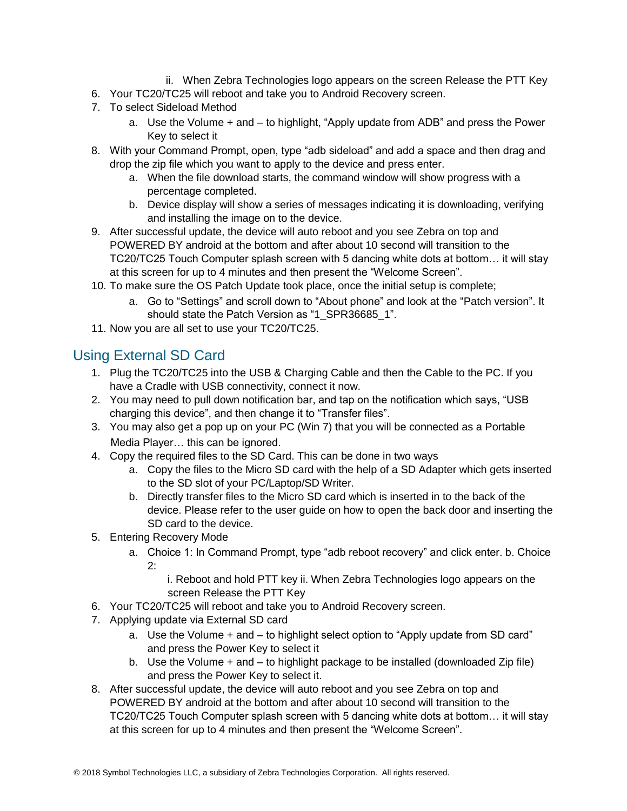- ii. When Zebra Technologies logo appears on the screen Release the PTT Key
- 6. Your TC20/TC25 will reboot and take you to Android Recovery screen.
- 7. To select Sideload Method
	- a. Use the Volume + and to highlight, "Apply update from ADB" and press the Power Key to select it
- 8. With your Command Prompt, open, type "adb sideload" and add a space and then drag and drop the zip file which you want to apply to the device and press enter.
	- a. When the file download starts, the command window will show progress with a percentage completed.
	- b. Device display will show a series of messages indicating it is downloading, verifying and installing the image on to the device.
- 9. After successful update, the device will auto reboot and you see Zebra on top and POWERED BY android at the bottom and after about 10 second will transition to the TC20/TC25 Touch Computer splash screen with 5 dancing white dots at bottom… it will stay at this screen for up to 4 minutes and then present the "Welcome Screen".
- 10. To make sure the OS Patch Update took place, once the initial setup is complete;
	- a. Go to "Settings" and scroll down to "About phone" and look at the "Patch version". It should state the Patch Version as "1\_SPR36685\_1".
- 11. Now you are all set to use your TC20/TC25.

### Using External SD Card

- 1. Plug the TC20/TC25 into the USB & Charging Cable and then the Cable to the PC. If you have a Cradle with USB connectivity, connect it now.
- 2. You may need to pull down notification bar, and tap on the notification which says, "USB charging this device", and then change it to "Transfer files".
- 3. You may also get a pop up on your PC (Win 7) that you will be connected as a Portable Media Player… this can be ignored.
- 4. Copy the required files to the SD Card. This can be done in two ways
	- a. Copy the files to the Micro SD card with the help of a SD Adapter which gets inserted to the SD slot of your PC/Laptop/SD Writer.
	- b. Directly transfer files to the Micro SD card which is inserted in to the back of the device. Please refer to the user guide on how to open the back door and inserting the SD card to the device.
- 5. Entering Recovery Mode
	- a. Choice 1: In Command Prompt, type "adb reboot recovery" and click enter. b. Choice 2:
		- i. Reboot and hold PTT key ii. When Zebra Technologies logo appears on the screen Release the PTT Key
- 6. Your TC20/TC25 will reboot and take you to Android Recovery screen.
- 7. Applying update via External SD card
	- a. Use the Volume + and to highlight select option to "Apply update from SD card" and press the Power Key to select it
	- b. Use the Volume + and to highlight package to be installed (downloaded Zip file) and press the Power Key to select it.
- 8. After successful update, the device will auto reboot and you see Zebra on top and POWERED BY android at the bottom and after about 10 second will transition to the TC20/TC25 Touch Computer splash screen with 5 dancing white dots at bottom… it will stay at this screen for up to 4 minutes and then present the "Welcome Screen".